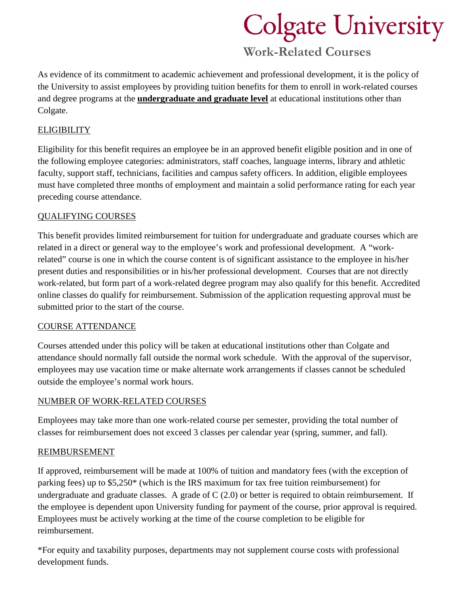# **Colgate University**

### **Work-Related Courses**

As evidence of its commitment to academic achievement and professional development, it is the policy of the University to assist employees by providing tuition benefits for them to enroll in work-related courses and degree programs at the **undergraduate and graduate level** at educational institutions other than Colgate.

#### **ELIGIBILITY**

Eligibility for this benefit requires an employee be in an approved benefit eligible position and in one of the following employee categories: administrators, staff coaches, language interns, library and athletic faculty, support staff, technicians, facilities and campus safety officers. In addition, eligible employees must have completed three months of employment and maintain a solid performance rating for each year preceding course attendance.

#### QUALIFYING COURSES

This benefit provides limited reimbursement for tuition for undergraduate and graduate courses which are related in a direct or general way to the employee's work and professional development. A "workrelated" course is one in which the course content is of significant assistance to the employee in his/her present duties and responsibilities or in his/her professional development. Courses that are not directly work-related, but form part of a work-related degree program may also qualify for this benefit. Accredited online classes do qualify for reimbursement. Submission of the application requesting approval must be submitted prior to the start of the course.

#### COURSE ATTENDANCE

Courses attended under this policy will be taken at educational institutions other than Colgate and attendance should normally fall outside the normal work schedule. With the approval of the supervisor, employees may use vacation time or make alternate work arrangements if classes cannot be scheduled outside the employee's normal work hours.

#### NUMBER OF WORK-RELATED COURSES

Employees may take more than one work-related course per semester, providing the total number of classes for reimbursement does not exceed 3 classes per calendar year (spring, summer, and fall).

#### REIMBURSEMENT

If approved, reimbursement will be made at 100% of tuition and mandatory fees (with the exception of parking fees) up to \$5,250\* (which is the IRS maximum for tax free tuition reimbursement) for undergraduate and graduate classes. A grade of  $C(2.0)$  or better is required to obtain reimbursement. If the employee is dependent upon University funding for payment of the course, prior approval is required. Employees must be actively working at the time of the course completion to be eligible for reimbursement.

\*For equity and taxability purposes, departments may not supplement course costs with professional development funds.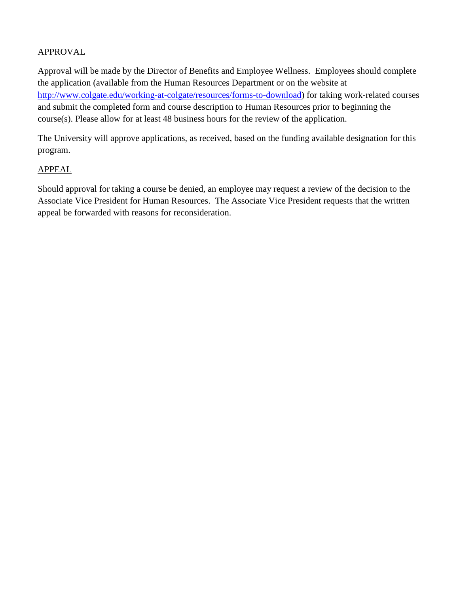#### APPROVAL

Approval will be made by the Director of Benefits and Employee Wellness. Employees should complete the application (available from the Human Resources Department or on the website at [http://www.colgate.edu/working-at-colgate/resources/forms-to-download\)](http://www.colgate.edu/working-at-colgate/resources/forms-to-download) for taking work-related courses and submit the completed form and course description to Human Resources prior to beginning the course(s). Please allow for at least 48 business hours for the review of the application.

The University will approve applications, as received, based on the funding available designation for this program.

#### APPEAL

Should approval for taking a course be denied, an employee may request a review of the decision to the Associate Vice President for Human Resources. The Associate Vice President requests that the written appeal be forwarded with reasons for reconsideration.